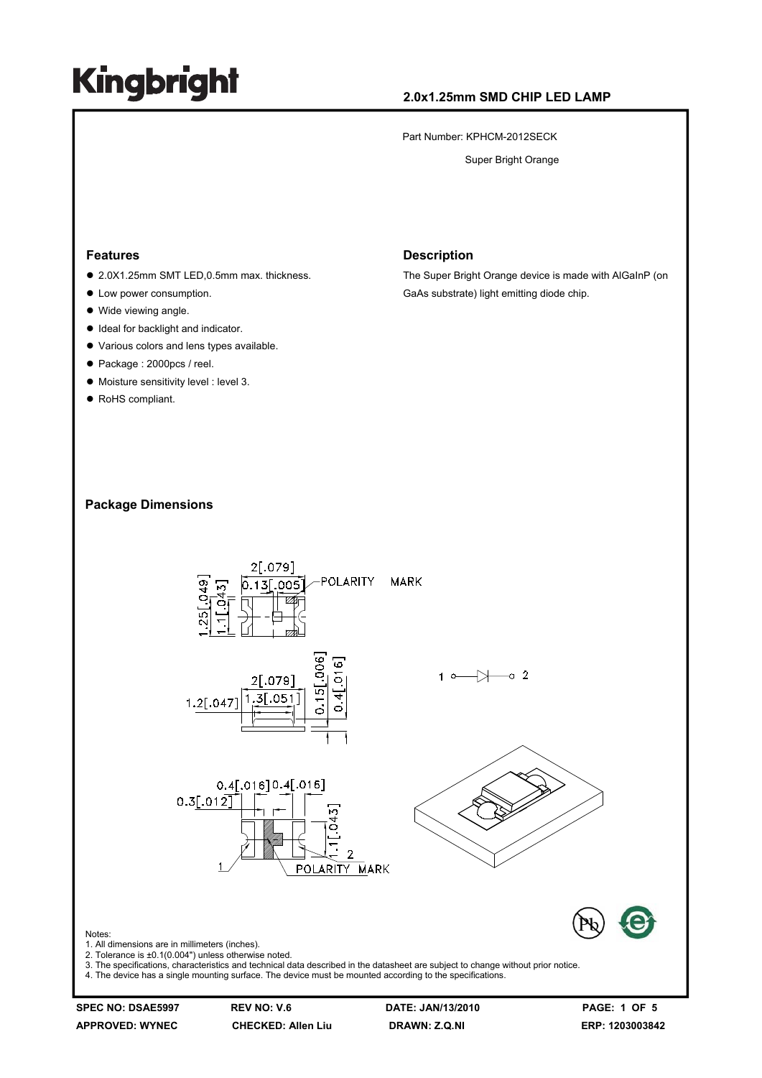### **2.0x1.25mm SMD CHIP LED LAMP**

Part Number: KPHCM-2012SECK

Super Bright Orange

#### **Features**

- 2.0X1.25mm SMT LED,0.5mm max. thickness.
- Low power consumption.
- $\bullet$  Wide viewing angle.
- $\bullet$  Ideal for backlight and indicator.
- $\bullet$  Various colors and lens types available.
- Package : 2000pcs / reel.
- $\bullet$  Moisture sensitivity level : level 3.
- RoHS compliant.

#### **Description**

The Super Bright Orange device is made with AlGaInP (on GaAs substrate) light emitting diode chip.

### **Package Dimensions**



**APPROVED: WYNEC CHECKED: Allen Liu DRAWN: Z.Q.NI ERP: 1203003842**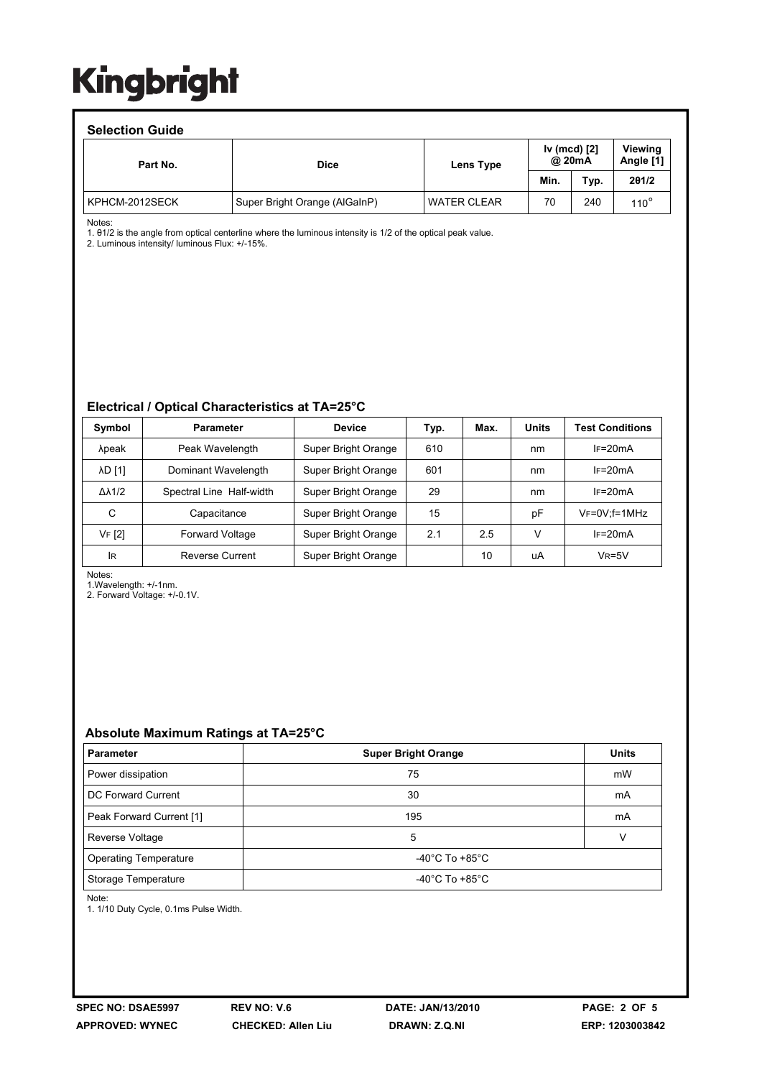#### **Selection Guide**

| ociocion caiuc |                               |                    |                        |      |                             |  |  |  |  |
|----------------|-------------------------------|--------------------|------------------------|------|-----------------------------|--|--|--|--|
| Part No.       | <b>Dice</b>                   | Lens Type          | Iv (mcd) [2]<br>@ 20mA |      | <b>Viewing</b><br>Angle [1] |  |  |  |  |
|                |                               |                    | Min.                   | Typ. | 201/2                       |  |  |  |  |
| KPHCM-2012SECK | Super Bright Orange (AlGaInP) | <b>WATER CLEAR</b> | 70                     | 240  | $110^{\circ}$               |  |  |  |  |

Notes:

1. θ1/2 is the angle from optical centerline where the luminous intensity is 1/2 of the optical peak value.

2. Luminous intensity/ luminous Flux: +/-15%.

#### **Electrical / Optical Characteristics at TA=25°C**

| Symbol              | <b>Parameter</b>         | <b>Device</b>       | Typ. | Max. | <b>Units</b> | <b>Test Conditions</b> |
|---------------------|--------------------------|---------------------|------|------|--------------|------------------------|
| λpeak               | Peak Wavelength          | Super Bright Orange | 610  |      | nm           | $IF=20mA$              |
| <b>AD [1]</b>       | Dominant Wavelength      | Super Bright Orange | 601  |      | nm           | $IF=20mA$              |
| $\Delta\lambda$ 1/2 | Spectral Line Half-width | Super Bright Orange | 29   |      | nm           | $I = 20mA$             |
| С                   | Capacitance              | Super Bright Orange | 15   |      | рF           | $V_F = 0V$ : f = 1MHz  |
| VF [2]              | <b>Forward Voltage</b>   | Super Bright Orange | 2.1  | 2.5  | V            | $IF=20mA$              |
| <b>IR</b>           | Reverse Current          | Super Bright Orange |      | 10   | uA           | $V_R = 5V$             |

Notes:

1.Wavelength: +/-1nm.

2. Forward Voltage: +/-0.1V.

### **Absolute Maximum Ratings at TA=25°C**

| <b>Parameter</b>             | <b>Super Bright Orange</b>           | <b>Units</b> |  |
|------------------------------|--------------------------------------|--------------|--|
| Power dissipation            | 75                                   | mW           |  |
| DC Forward Current           | 30                                   | mA           |  |
| Peak Forward Current [1]     | 195                                  | mA           |  |
| Reverse Voltage              | 5                                    |              |  |
| <b>Operating Temperature</b> | -40 $^{\circ}$ C To +85 $^{\circ}$ C |              |  |
| Storage Temperature          | -40 $^{\circ}$ C To +85 $^{\circ}$ C |              |  |

Note:

1. 1/10 Duty Cycle, 0.1ms Pulse Width.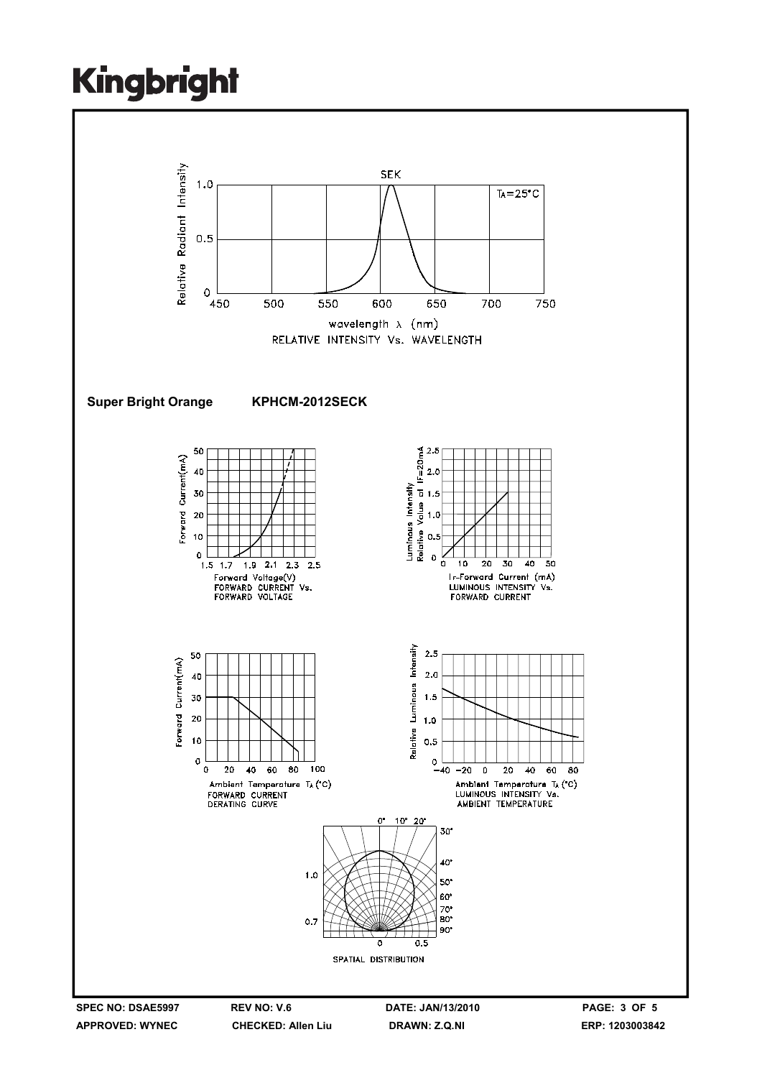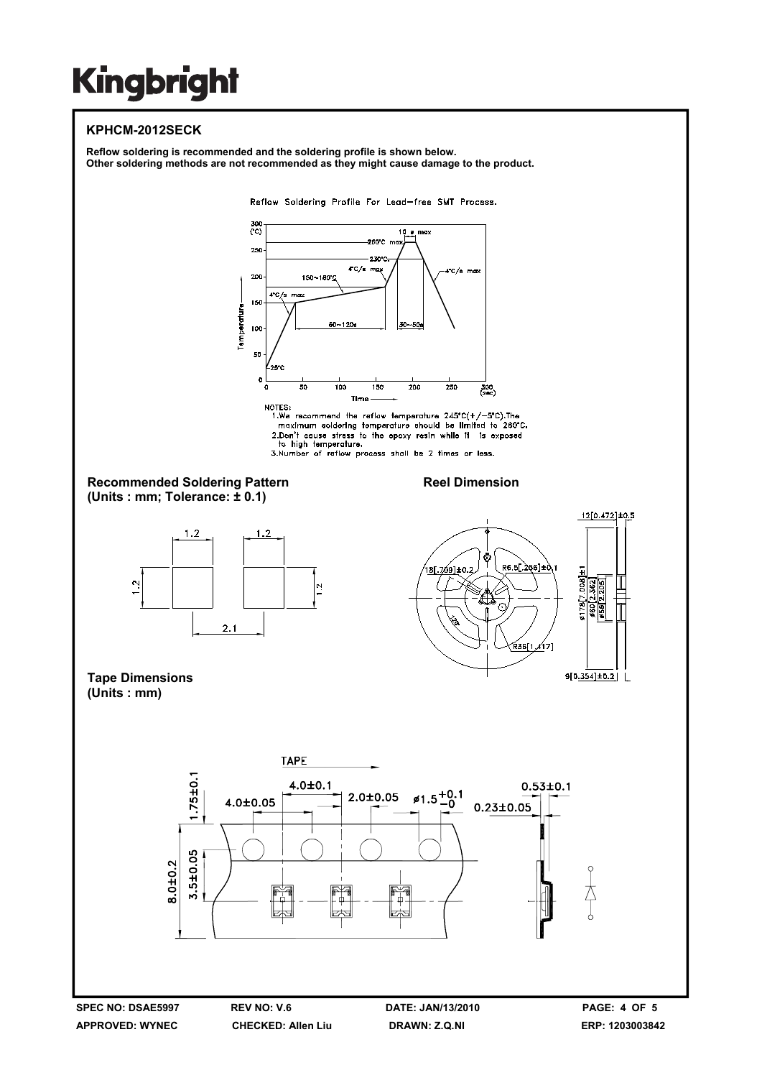### **KPHCM-2012SECK**

**Reflow soldering is recommended and the soldering profile is shown below. Other soldering methods are not recommended as they might cause damage to the product.**